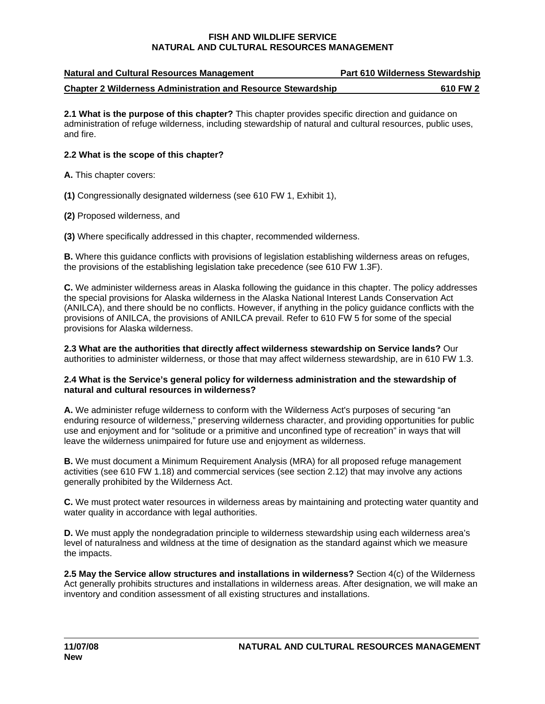| <b>Natural and Cultural Resources Management</b>                    | <b>Part 610 Wilderness Stewardship</b> |
|---------------------------------------------------------------------|----------------------------------------|
| <b>Chapter 2 Wilderness Administration and Resource Stewardship</b> | 610 FW 2                               |

**2.1 What is the purpose of this chapter?** This chapter provides specific direction and guidance on administration of refuge wilderness, including stewardship of natural and cultural resources, public uses, and fire.

# **2.2 What is the scope of this chapter?**<br>**A.** This chapter covers:

**(1)** Congressionally designated wilderness (see 610 FW 1, Exhibit 1),

**(2)** Proposed wilderness, and

**(3)** Where specifically addressed in this chapter, recommended wilderness.

**B.** Where this guidance conflicts with provisions of legislation establishing wilderness areas on refuges, the provisions of the establishing legislation take precedence (see 610 FW 1.3F).

**C.** We administer wilderness areas in Alaska following the guidance in this chapter. The policy addresses the special provisions for Alaska wilderness in the Alaska National Interest Lands Conservation Act (ANILCA), and there should be no conflicts. However, if anything in the policy guidance conflicts with the provisions of ANILCA, the provisions of ANILCA prevail. Refer to 610 FW 5 for some of the special provisions for Alaska wilderness.

**2.3 What are the authorities that directly affect wilderness stewardship on Service lands?** Our authorities to administer wilderness, or those that may affect wilderness stewardship, are in 610 FW 1.3.

#### natural and cultural resources in wilderness? **2.4 What is the Service's general policy for wilderness administration and the stewardship of**

**A.** We administer refuge wilderness to conform with the Wilderness Act's purposes of securing "an enduring resource of wilderness," preserving wilderness character, and providing opportunities for public use and enjoyment and for "solitude or a primitive and unconfined type of recreation" in ways that will leave the wilderness unimpaired for future use and enjoyment as wilderness.

**B.** We must document a Minimum Requirement Analysis (MRA) for all proposed refuge management activities (see 610 FW 1.18) and commercial services (see section 2.12) that may involve any actions generally prohibited by the Wilderness Act.

**C.** We must protect water resources in wilderness areas by maintaining and protecting water quantity and water quality in accordance with legal authorities.

**D.** We must apply the nondegradation principle to wilderness stewardship using each wilderness area's level of naturalness and wildness at the time of designation as the standard against which we measure the impacts.

**2.5 May the Service allow structures and installations in wilderness?** Section 4(c) of the Wilderness Act generally prohibits structures and installations in wilderness areas. After designation, we will make an inventory and condition assessment of all existing structures and installations.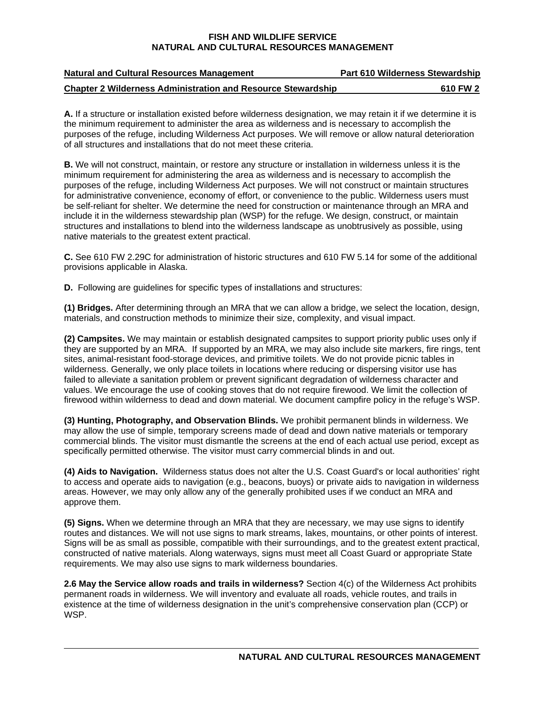| <b>Natural and Cultural Resources Management</b>                    | <b>Part 610 Wilderness Stewardship</b> |
|---------------------------------------------------------------------|----------------------------------------|
| <b>Chapter 2 Wilderness Administration and Resource Stewardship</b> | 610 FW 2                               |

**A.** If a structure or installation existed before wilderness designation, we may retain it if we determine it is the minimum requirement to administer the area as wilderness and is necessary to accomplish the purposes of the refuge, including Wilderness Act purposes. We will remove or allow natural deterioration of all structures and installations that do not meet these criteria.

**B.** We will not construct, maintain, or restore any structure or installation in wilderness unless it is the minimum requirement for administering the area as wilderness and is necessary to accomplish the purposes of the refuge, including Wilderness Act purposes. We will not construct or maintain structures for administrative convenience, economy of effort, or convenience to the public. Wilderness users must be self-reliant for shelter. We determine the need for construction or maintenance through an MRA and include it in the wilderness stewardship plan (WSP) for the refuge. We design, construct, or maintain structures and installations to blend into the wilderness landscape as unobtrusively as possible, using native materials to the greatest extent practical.

**C.** See 610 FW 2.29C for administration of historic structures and 610 FW 5.14 for some of the additional provisions applicable in Alaska.

**D.** Following are guidelines for specific types of installations and structures:

**(1) Bridges.** After determining through an MRA that we can allow a bridge, we select the location, design, materials, and construction methods to minimize their size, complexity, and visual impact.

**(2) Campsites.** We may maintain or establish designated campsites to support priority public uses only if they are supported by an MRA. If supported by an MRA, we may also include site markers, fire rings, tent sites, animal-resistant food-storage devices, and primitive toilets. We do not provide picnic tables in wilderness. Generally, we only place toilets in locations where reducing or dispersing visitor use has failed to alleviate a sanitation problem or prevent significant degradation of wilderness character and values. We encourage the use of cooking stoves that do not require firewood. We limit the collection of firewood within wilderness to dead and down material. We document campfire policy in the refuge's WSP.

**(3) Hunting, Photography, and Observation Blinds.** We prohibit permanent blinds in wilderness. We may allow the use of simple, temporary screens made of dead and down native materials or temporary commercial blinds. The visitor must dismantle the screens at the end of each actual use period, except as specifically permitted otherwise. The visitor must carry commercial blinds in and out.

**(4) Aids to Navigation.** Wilderness status does not alter the U.S. Coast Guard's or local authorities' right to access and operate aids to navigation (e.g., beacons, buoys) or private aids to navigation in wilderness areas. However, we may only allow any of the generally prohibited uses if we conduct an MRA and approve them.

**(5) Signs.** When we determine through an MRA that they are necessary, we may use signs to identify routes and distances. We will not use signs to mark streams, lakes, mountains, or other points of interest. Signs will be as small as possible, compatible with their surroundings, and to the greatest extent practical, constructed of native materials. Along waterways, signs must meet all Coast Guard or appropriate State requirements. We may also use signs to mark wilderness boundaries.

**2.6 May the Service allow roads and trails in wilderness?** Section 4(c) of the Wilderness Act prohibits permanent roads in wilderness. We will inventory and evaluate all roads, vehicle routes, and trails in existence at the time of wilderness designation in the unit's comprehensive conservation plan (CCP) or WSP.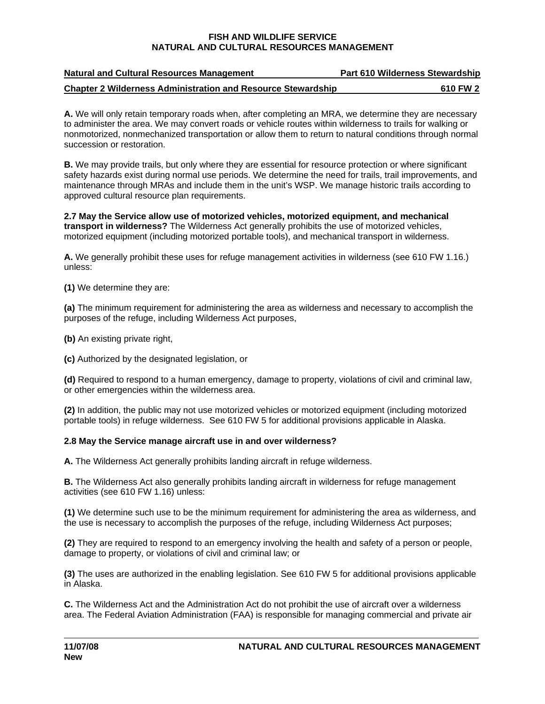| <b>Natural and Cultural Resources Management</b>                    | <b>Part 610 Wilderness Stewardship</b> |
|---------------------------------------------------------------------|----------------------------------------|
| <b>Chapter 2 Wilderness Administration and Resource Stewardship</b> | 610 FW 2                               |

**A.** We will only retain temporary roads when, after completing an MRA, we determine they are necessary to administer the area. We may convert roads or vehicle routes within wilderness to trails for walking or nonmotorized, nonmechanized transportation or allow them to return to natural conditions through normal succession or restoration.

**B.** We may provide trails, but only where they are essential for resource protection or where significant safety hazards exist during normal use periods. We determine the need for trails, trail improvements, and maintenance through MRAs and include them in the unit's WSP. We manage historic trails according to approved cultural resource plan requirements.

**2.7 May the Service allow use of motorized vehicles, motorized equipment, and mechanical transport in wilderness?** The Wilderness Act generally prohibits the use of motorized vehicles, motorized equipment (including motorized portable tools), and mechanical transport in wilderness.

**A.** We generally prohibit these uses for refuge management activities in wilderness (see 610 FW 1.16.) unless:

**(1)** We determine they are:

**(a)** The minimum requirement for administering the area as wilderness and necessary to accomplish the purposes of the refuge, including Wilderness Act purposes,

**(b)** An existing private right,

**(c)** Authorized by the designated legislation, or

**(d)** Required to respond to a human emergency, damage to property, violations of civil and criminal law, or other emergencies within the wilderness area.

**(2)** In addition, the public may not use motorized vehicles or motorized equipment (including motorized portable tools) in refuge wilderness. See 610 FW 5 for additional provisions applicable in Alaska.

# 2.8 May the Service manage aircraft use in and over wilderness?

**A.** The Wilderness Act generally prohibits landing aircraft in refuge wilderness.

**B.** The Wilderness Act also generally prohibits landing aircraft in wilderness for refuge management activities (see 610 FW 1.16) unless:

**(1)** We determine such use to be the minimum requirement for administering the area as wilderness, and the use is necessary to accomplish the purposes of the refuge, including Wilderness Act purposes;

**(2)** They are required to respond to an emergency involving the health and safety of a person or people, damage to property, or violations of civil and criminal law; or

**(3)** The uses are authorized in the enabling legislation. See 610 FW 5 for additional provisions applicable in Alaska.

**C.** The Wilderness Act and the Administration Act do not prohibit the use of aircraft over a wilderness area. The Federal Aviation Administration (FAA) is responsible for managing commercial and private air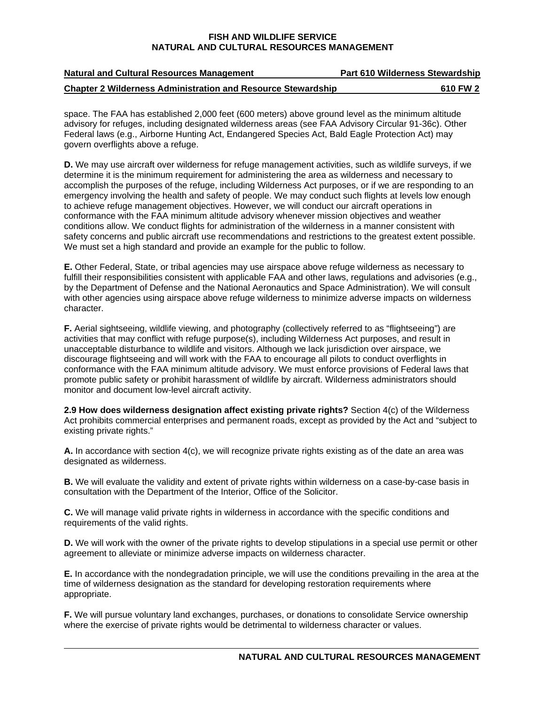| <b>Natural and Cultural Resources Management</b>                    | <b>Part 610 Wilderness Stewardship</b> |
|---------------------------------------------------------------------|----------------------------------------|
| <b>Chapter 2 Wilderness Administration and Resource Stewardship</b> | 610 FW 2                               |

space. The FAA has established 2,000 feet (600 meters) above ground level as the minimum altitude advisory for refuges, including designated wilderness areas (see FAA Advisory Circular 91-36c). Other Federal laws (e.g., Airborne Hunting Act, Endangered Species Act, Bald Eagle Protection Act) may govern overflights above a refuge.

**D.** We may use aircraft over wilderness for refuge management activities, such as wildlife surveys, if we determine it is the minimum requirement for administering the area as wilderness and necessary to accomplish the purposes of the refuge, including Wilderness Act purposes, or if we are responding to an emergency involving the health and safety of people. We may conduct such flights at levels low enough to achieve refuge management objectives. However, we will conduct our aircraft operations in conformance with the FAA minimum altitude advisory whenever mission objectives and weather conditions allow. We conduct flights for administration of the wilderness in a manner consistent with safety concerns and public aircraft use recommendations and restrictions to the greatest extent possible. We must set a high standard and provide an example for the public to follow.

**E.** Other Federal, State, or tribal agencies may use airspace above refuge wilderness as necessary to fulfill their responsibilities consistent with applicable FAA and other laws, regulations and advisories (e.g., by the Department of Defense and the National Aeronautics and Space Administration). We will consult with other agencies using airspace above refuge wilderness to minimize adverse impacts on wilderness character.

**F.** Aerial sightseeing, wildlife viewing, and photography (collectively referred to as "flightseeing") are activities that may conflict with refuge purpose(s), including Wilderness Act purposes, and result in unacceptable disturbance to wildlife and visitors. Although we lack jurisdiction over airspace, we discourage flightseeing and will work with the FAA to encourage all pilots to conduct overflights in conformance with the FAA minimum altitude advisory. We must enforce provisions of Federal laws that promote public safety or prohibit harassment of wildlife by aircraft. Wilderness administrators should monitor and document low-level aircraft activity.

 **2.9 How does wilderness designation affect existing private rights?** Section 4(c) of the Wilderness Act prohibits commercial enterprises and permanent roads, except as provided by the Act and "subject to existing private rights."

**A.** In accordance with section 4(c), we will recognize private rights existing as of the date an area was designated as wilderness.

**B.** We will evaluate the validity and extent of private rights within wilderness on a case-by-case basis in consultation with the Department of the Interior, Office of the Solicitor.

**C.** We will manage valid private rights in wilderness in accordance with the specific conditions and requirements of the valid rights.

**D.** We will work with the owner of the private rights to develop stipulations in a special use permit or other agreement to alleviate or minimize adverse impacts on wilderness character.

**E.** In accordance with the nondegradation principle, we will use the conditions prevailing in the area at the time of wilderness designation as the standard for developing restoration requirements where appropriate.

**F.** We will pursue voluntary land exchanges, purchases, or donations to consolidate Service ownership where the exercise of private rights would be detrimental to wilderness character or values.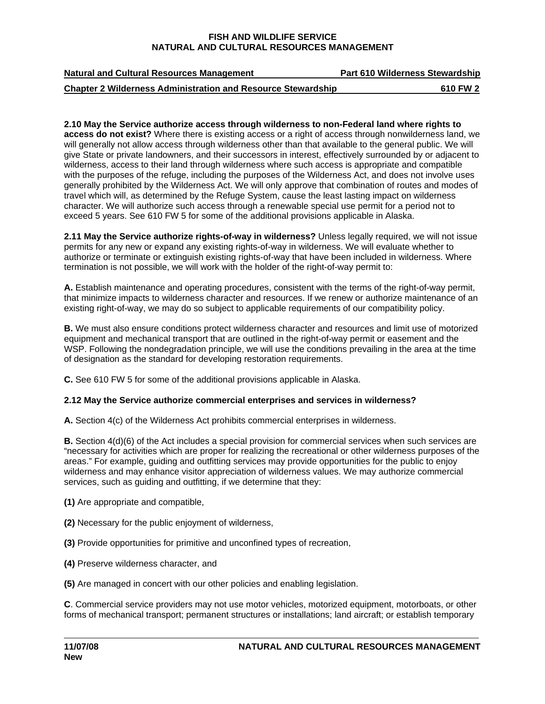| <b>Natural and Cultural Resources Management</b>                    | <b>Part 610 Wilderness Stewardship</b> |
|---------------------------------------------------------------------|----------------------------------------|
| <b>Chapter 2 Wilderness Administration and Resource Stewardship</b> | 610 FW 2                               |

#### **2.10 May the Service authorize access through wilderness to non-Federal land where rights to access do not exist?** Where there is existing access or a right of access through nonwilderness land, we will generally not allow access through wilderness other than that available to the general public. We will give State or private landowners, and their successors in interest, effectively surrounded by or adjacent to wilderness, access to their land through wilderness where such access is appropriate and compatible with the purposes of the refuge, including the purposes of the Wilderness Act, and does not involve uses generally prohibited by the Wilderness Act. We will only approve that combination of routes and modes of travel which will, as determined by the Refuge System, cause the least lasting impact on wilderness character. We will authorize such access through a renewable special use permit for a period not to exceed 5 years. See 610 FW 5 for some of the additional provisions applicable in Alaska.

**2.11 May the Service authorize rights-of-way in wilderness?** Unless legally required, we will not issue permits for any new or expand any existing rights-of-way in wilderness. We will evaluate whether to authorize or terminate or extinguish existing rights-of-way that have been included in wilderness. Where termination is not possible, we will work with the holder of the right-of-way permit to:

**A.** Establish maintenance and operating procedures, consistent with the terms of the right-of-way permit, that minimize impacts to wilderness character and resources. If we renew or authorize maintenance of an existing right-of-way, we may do so subject to applicable requirements of our compatibility policy.

**B.** We must also ensure conditions protect wilderness character and resources and limit use of motorized equipment and mechanical transport that are outlined in the right-of-way permit or easement and the WSP. Following the nondegradation principle, we will use the conditions prevailing in the area at the time of designation as the standard for developing restoration requirements.

**C.** See 610 FW 5 for some of the additional provisions applicable in Alaska.

**2.12 May the Service authorize commercial enterprises and services in wilderness?**<br>A. Section 4(c) of the Wilderness Act prohibits commercial enterprises in wilderness.

**B.** Section 4(d)(6) of the Act includes a special provision for commercial services when such services are "necessary for activities which are proper for realizing the recreational or other wilderness purposes of the areas." For example, guiding and outfitting services may provide opportunities for the public to enjoy wilderness and may enhance visitor appreciation of wilderness values. We may authorize commercial services, such as guiding and outfitting, if we determine that they:

- **(1)** Are appropriate and compatible,
- **(2)** Necessary for the public enjoyment of wilderness,
- **(3)** Provide opportunities for primitive and unconfined types of recreation,
- **(4)** Preserve wilderness character, and
- **(5)** Are managed in concert with our other policies and enabling legislation.

**C**. Commercial service providers may not use motor vehicles, motorized equipment, motorboats, or other forms of mechanical transport; permanent structures or installations; land aircraft; or establish temporary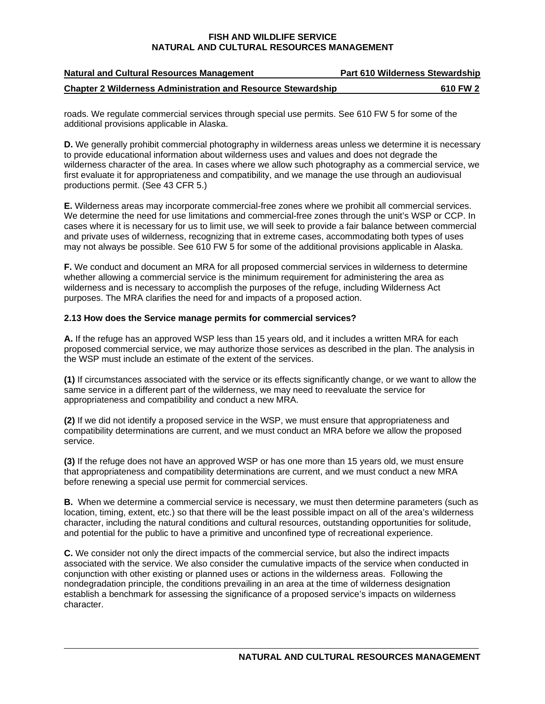| <b>Natural and Cultural Resources Management</b>                    | <b>Part 610 Wilderness Stewardship</b> |
|---------------------------------------------------------------------|----------------------------------------|
| <b>Chapter 2 Wilderness Administration and Resource Stewardship</b> | 610 FW 2                               |

roads. We regulate commercial services through special use permits. See 610 FW 5 for some of the additional provisions applicable in Alaska.

**D.** We generally prohibit commercial photography in wilderness areas unless we determine it is necessary to provide educational information about wilderness uses and values and does not degrade the wilderness character of the area. In cases where we allow such photography as a commercial service, we first evaluate it for appropriateness and compatibility, and we manage the use through an audiovisual productions permit. (See 43 CFR 5.)

**E.** Wilderness areas may incorporate commercial-free zones where we prohibit all commercial services. We determine the need for use limitations and commercial-free zones through the unit's WSP or CCP. In cases where it is necessary for us to limit use, we will seek to provide a fair balance between commercial and private uses of wilderness, recognizing that in extreme cases, accommodating both types of uses may not always be possible. See 610 FW 5 for some of the additional provisions applicable in Alaska.

**F.** We conduct and document an MRA for all proposed commercial services in wilderness to determine whether allowing a commercial service is the minimum requirement for administering the area as wilderness and is necessary to accomplish the purposes of the refuge, including Wilderness Act purposes. The MRA clarifies the need for and impacts of a proposed action.

# **2.13 How does the Service manage permits for commercial services?**

**A.** If the refuge has an approved WSP less than 15 years old, and it includes a written MRA for each proposed commercial service, we may authorize those services as described in the plan. The analysis in the WSP must include an estimate of the extent of the services.

**(1)** If circumstances associated with the service or its effects significantly change, or we want to allow the same service in a different part of the wilderness, we may need to reevaluate the service for appropriateness and compatibility and conduct a new MRA.

 service. **(2)** If we did not identify a proposed service in the WSP, we must ensure that appropriateness and compatibility determinations are current, and we must conduct an MRA before we allow the proposed

**(3)** If the refuge does not have an approved WSP or has one more than 15 years old, we must ensure that appropriateness and compatibility determinations are current, and we must conduct a new MRA before renewing a special use permit for commercial services.

**B.** When we determine a commercial service is necessary, we must then determine parameters (such as location, timing, extent, etc.) so that there will be the least possible impact on all of the area's wilderness character, including the natural conditions and cultural resources, outstanding opportunities for solitude, and potential for the public to have a primitive and unconfined type of recreational experience.

 character. **C.** We consider not only the direct impacts of the commercial service, but also the indirect impacts associated with the service. We also consider the cumulative impacts of the service when conducted in conjunction with other existing or planned uses or actions in the wilderness areas. Following the nondegradation principle, the conditions prevailing in an area at the time of wilderness designation establish a benchmark for assessing the significance of a proposed service's impacts on wilderness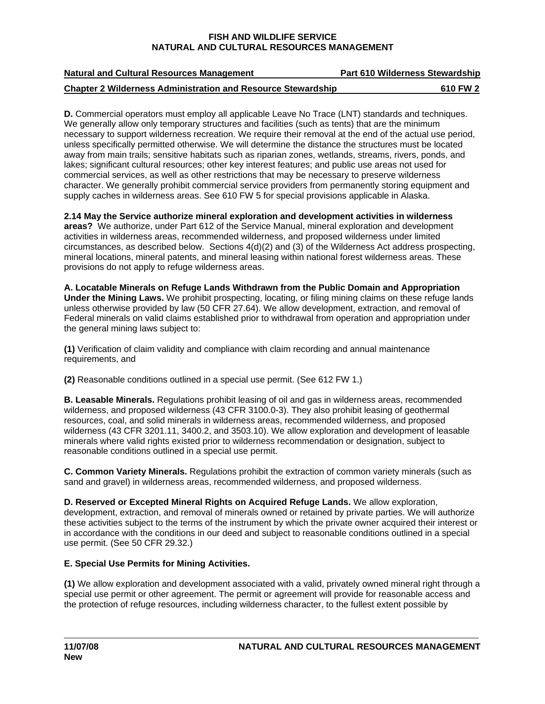| <b>Natural and Cultural Resources Management</b>                    | <b>Part 610 Wilderness Stewardship</b> |
|---------------------------------------------------------------------|----------------------------------------|
| <b>Chapter 2 Wilderness Administration and Resource Stewardship</b> | 610 FW 2                               |

**D.** Commercial operators must employ all applicable Leave No Trace (LNT) standards and techniques. We generally allow only temporary structures and facilities (such as tents) that are the minimum necessary to support wilderness recreation. We require their removal at the end of the actual use period, unless specifically permitted otherwise. We will determine the distance the structures must be located away from main trails; sensitive habitats such as riparian zones, wetlands, streams, rivers, ponds, and lakes; significant cultural resources; other key interest features; and public use areas not used for commercial services, as well as other restrictions that may be necessary to preserve wilderness character. We generally prohibit commercial service providers from permanently storing equipment and supply caches in wilderness areas. See 610 FW 5 for special provisions applicable in Alaska.

**2.14 May the Service authorize mineral exploration and development activities in wilderness areas?** We authorize, under Part 612 of the Service Manual, mineral exploration and development activities in wilderness areas, recommended wilderness, and proposed wilderness under limited circumstances, as described below. Sections 4(d)(2) and (3) of the Wilderness Act address prospecting, mineral locations, mineral patents, and mineral leasing within national forest wilderness areas. These provisions do not apply to refuge wilderness areas.

**A. Locatable Minerals on Refuge Lands Withdrawn from the Public Domain and Appropriation Under the Mining Laws.** We prohibit prospecting, locating, or filing mining claims on these refuge lands unless otherwise provided by law (50 CFR 27.64). We allow development, extraction, and removal of Federal minerals on valid claims established prior to withdrawal from operation and appropriation under the general mining laws subject to:

**(1)** Verification of claim validity and compliance with claim recording and annual maintenance requirements, and

**(2)** Reasonable conditions outlined in a special use permit. (See 612 FW 1.)

**B. Leasable Minerals.** Regulations prohibit leasing of oil and gas in wilderness areas, recommended wilderness, and proposed wilderness (43 CFR 3100.0-3). They also prohibit leasing of geothermal resources, coal, and solid minerals in wilderness areas, recommended wilderness, and proposed wilderness (43 CFR 3201.11, 3400.2, and 3503.10). We allow exploration and development of leasable minerals where valid rights existed prior to wilderness recommendation or designation, subject to reasonable conditions outlined in a special use permit.

**C. Common Variety Minerals.** Regulations prohibit the extraction of common variety minerals (such as sand and gravel) in wilderness areas, recommended wilderness, and proposed wilderness.

**D. Reserved or Excepted Mineral Rights on Acquired Refuge Lands.** We allow exploration, development, extraction, and removal of minerals owned or retained by private parties. We will authorize these activities subject to the terms of the instrument by which the private owner acquired their interest or in accordance with the conditions in our deed and subject to reasonable conditions outlined in a special use permit. (See 50 CFR 29.32.)

# E. Special Use Permits for Mining Activities.

**E. Special Use Permits for Mining Activities. (1)** We allow exploration and development associated with a valid, privately owned mineral right through a special use permit or other agreement. The permit or agreement will provide for reasonable access and the protection of refuge resources, including wilderness character, to the fullest extent possible by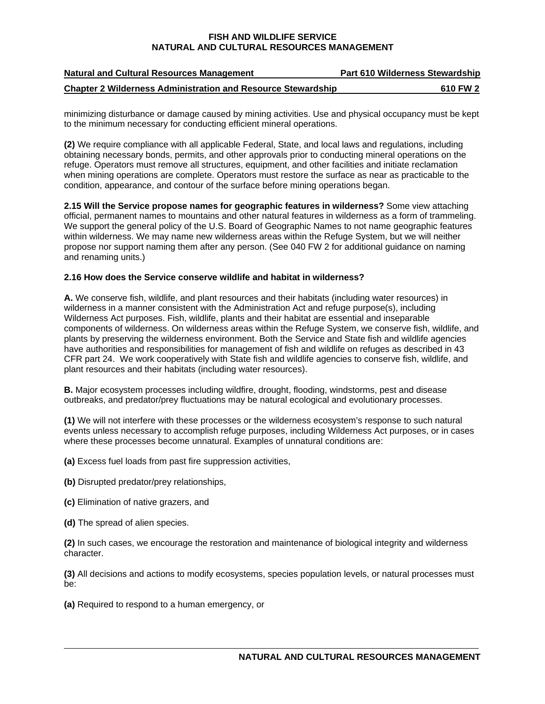| <b>Natural and Cultural Resources Management</b>                    | <b>Part 610 Wilderness Stewardship</b> |
|---------------------------------------------------------------------|----------------------------------------|
| <b>Chapter 2 Wilderness Administration and Resource Stewardship</b> | 610 FW 2                               |

minimizing disturbance or damage caused by mining activities. Use and physical occupancy must be kept to the minimum necessary for conducting efficient mineral operations.

**(2)** We require compliance with all applicable Federal, State, and local laws and regulations, including obtaining necessary bonds, permits, and other approvals prior to conducting mineral operations on the refuge. Operators must remove all structures, equipment, and other facilities and initiate reclamation when mining operations are complete. Operators must restore the surface as near as practicable to the condition, appearance, and contour of the surface before mining operations began.

**2.15 Will the Service propose names for geographic features in wilderness?** Some view attaching official, permanent names to mountains and other natural features in wilderness as a form of trammeling. We support the general policy of the U.S. Board of Geographic Names to not name geographic features within wilderness. We may name new wilderness areas within the Refuge System, but we will neither propose nor support naming them after any person. (See 040 FW 2 for additional guidance on naming and renaming units.)

#### **2.16 How does the Service conserve wildlife and habitat in wilderness?**

**A.** We conserve fish, wildlife, and plant resources and their habitats (including water resources) in wilderness in a manner consistent with the Administration Act and refuge purpose(s), including Wilderness Act purposes. Fish, wildlife, plants and their habitat are essential and inseparable components of wilderness. On wilderness areas within the Refuge System, we conserve fish, wildlife, and plants by preserving the wilderness environment. Both the Service and State fish and wildlife agencies have authorities and responsibilities for management of fish and wildlife on refuges as described in 43 CFR part 24. We work cooperatively with State fish and wildlife agencies to conserve fish, wildlife, and plant resources and their habitats (including water resources).

**B.** Major ecosystem processes including wildfire, drought, flooding, windstorms, pest and disease outbreaks, and predator/prey fluctuations may be natural ecological and evolutionary processes.

**(1)** We will not interfere with these processes or the wilderness ecosystem's response to such natural events unless necessary to accomplish refuge purposes, including Wilderness Act purposes, or in cases where these processes become unnatural. Examples of unnatural conditions are:

**(a)** Excess fuel loads from past fire suppression activities,

- **(b)** Disrupted predator/prey relationships,
- **(c)** Elimination of native grazers, and
- **(d)** The spread of alien species.

 character. **(2)** In such cases, we encourage the restoration and maintenance of biological integrity and wilderness

**(3)** All decisions and actions to modify ecosystems, species population levels, or natural processes must be:

**(a)** Required to respond to a human emergency, or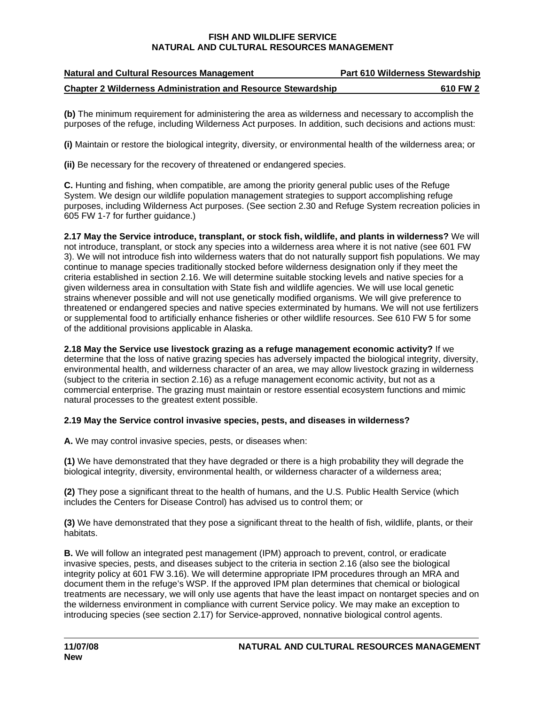| <b>Natural and Cultural Resources Management</b>                    | <b>Part 610 Wilderness Stewardship</b> |
|---------------------------------------------------------------------|----------------------------------------|
| <b>Chapter 2 Wilderness Administration and Resource Stewardship</b> | 610 FW 2                               |

**(b)** The minimum requirement for administering the area as wilderness and necessary to accomplish the purposes of the refuge, including Wilderness Act purposes. In addition, such decisions and actions must:

**(i)** Maintain or restore the biological integrity, diversity, or environmental health of the wilderness area; or

**(ii)** Be necessary for the recovery of threatened or endangered species.

**C.** Hunting and fishing, when compatible, are among the priority general public uses of the Refuge System. We design our wildlife population management strategies to support accomplishing refuge purposes, including Wilderness Act purposes. (See section 2.30 and Refuge System recreation policies in 605 FW 1-7 for further guidance.)

**2.17 May the Service introduce, transplant, or stock fish, wildlife, and plants in wilderness?** We will not introduce, transplant, or stock any species into a wilderness area where it is not native (see 601 FW 3). We will not introduce fish into wilderness waters that do not naturally support fish populations. We may continue to manage species traditionally stocked before wilderness designation only if they meet the criteria established in section 2.16. We will determine suitable stocking levels and native species for a given wilderness area in consultation with State fish and wildlife agencies. We will use local genetic strains whenever possible and will not use genetically modified organisms. We will give preference to threatened or endangered species and native species exterminated by humans. We will not use fertilizers or supplemental food to artificially enhance fisheries or other wildlife resources. See 610 FW 5 for some of the additional provisions applicable in Alaska.

**2.18 May the Service use livestock grazing as a refuge management economic activity?** If we determine that the loss of native grazing species has adversely impacted the biological integrity, diversity, environmental health, and wilderness character of an area, we may allow livestock grazing in wilderness (subject to the criteria in section 2.16) as a refuge management economic activity, but not as a commercial enterprise. The grazing must maintain or restore essential ecosystem functions and mimic natural processes to the greatest extent possible.

# **2.19 May the Service control invasive species, pests, and diseases in wilderness?**<br>**A.** We may control invasive species, pests, or diseases when:

**(1)** We have demonstrated that they have degraded or there is a high probability they will degrade the biological integrity, diversity, environmental health, or wilderness character of a wilderness area;

**(2)** They pose a significant threat to the health of humans, and the U.S. Public Health Service (which includes the Centers for Disease Control) has advised us to control them; or

**(3)** We have demonstrated that they pose a significant threat to the health of fish, wildlife, plants, or their habitats.

**B.** We will follow an integrated pest management (IPM) approach to prevent, control, or eradicate invasive species, pests, and diseases subject to the criteria in section 2.16 (also see the biological integrity policy at 601 FW 3.16). We will determine appropriate IPM procedures through an MRA and document them in the refuge's WSP. If the approved IPM plan determines that chemical or biological treatments are necessary, we will only use agents that have the least impact on nontarget species and on the wilderness environment in compliance with current Service policy. We may make an exception to introducing species (see section 2.17) for Service-approved, nonnative biological control agents.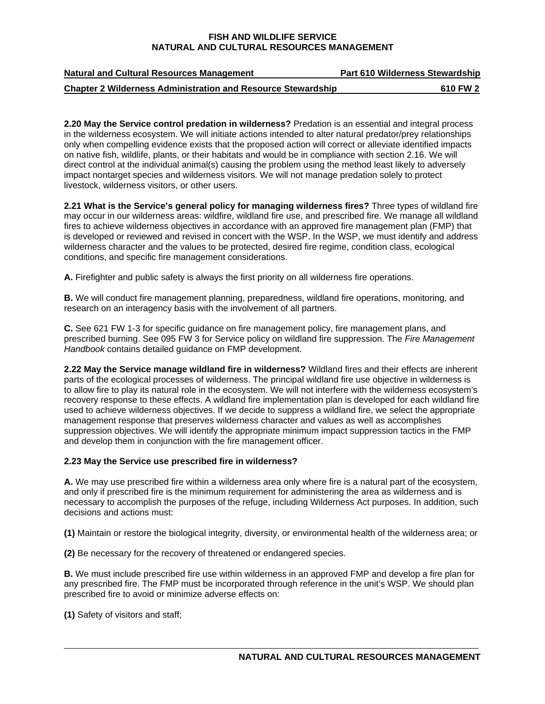| <b>Natural and Cultural Resources Management</b>                    | <b>Part 610 Wilderness Stewardship</b> |
|---------------------------------------------------------------------|----------------------------------------|
| <b>Chapter 2 Wilderness Administration and Resource Stewardship</b> | 610 FW 2                               |

**2.20 May the Service control predation in wilderness?** Predation is an essential and integral process in the wilderness ecosystem. We will initiate actions intended to alter natural predator/prey relationships only when compelling evidence exists that the proposed action will correct or alleviate identified impacts on native fish, wildlife, plants, or their habitats and would be in compliance with section 2.16. We will direct control at the individual animal(s) causing the problem using the method least likely to adversely impact nontarget species and wilderness visitors. We will not manage predation solely to protect livestock, wilderness visitors, or other users.

**2.21 What is the Service's general policy for managing wilderness fires?** Three types of wildland fire may occur in our wilderness areas: wildfire, wildland fire use, and prescribed fire. We manage all wildland fires to achieve wilderness objectives in accordance with an approved fire management plan (FMP) that is developed or reviewed and revised in concert with the WSP. In the WSP, we must identify and address wilderness character and the values to be protected, desired fire regime, condition class, ecological conditions, and specific fire management considerations.

**A.** Firefighter and public safety is always the first priority on all wilderness fire operations.

**B.** We will conduct fire management planning, preparedness, wildland fire operations, monitoring, and research on an interagency basis with the involvement of all partners.

**C.** See 621 FW 1-3 for specific guidance on fire management policy, fire management plans, and prescribed burning. See 095 FW 3 for Service policy on wildland fire suppression. The *Fire Management Handbook* contains detailed guidance on FMP development.

**2.22 May the Service manage wildland fire in wilderness?** Wildland fires and their effects are inherent parts of the ecological processes of wilderness. The principal wildland fire use objective in wilderness is to allow fire to play its natural role in the ecosystem. We will not interfere with the wilderness ecosystem's recovery response to these effects. A wildland fire implementation plan is developed for each wildland fire used to achieve wilderness objectives. If we decide to suppress a wildland fire, we select the appropriate management response that preserves wilderness character and values as well as accomplishes suppression objectives. We will identify the appropriate minimum impact suppression tactics in the FMP and develop them in conjunction with the fire management officer.

# 2.23 May the Service use prescribed fire in wilderness?

**A.** We may use prescribed fire within a wilderness area only where fire is a natural part of the ecosystem, and only if prescribed fire is the minimum requirement for administering the area as wilderness and is necessary to accomplish the purposes of the refuge, including Wilderness Act purposes. In addition, such decisions and actions must:

**(1)** Maintain or restore the biological integrity, diversity, or environmental health of the wilderness area; or

**(2)** Be necessary for the recovery of threatened or endangered species.

**B.** We must include prescribed fire use within wilderness in an approved FMP and develop a fire plan for any prescribed fire. The FMP must be incorporated through reference in the unit's WSP. We should plan prescribed fire to avoid or minimize adverse effects on:

**(1)** Safety of visitors and staff;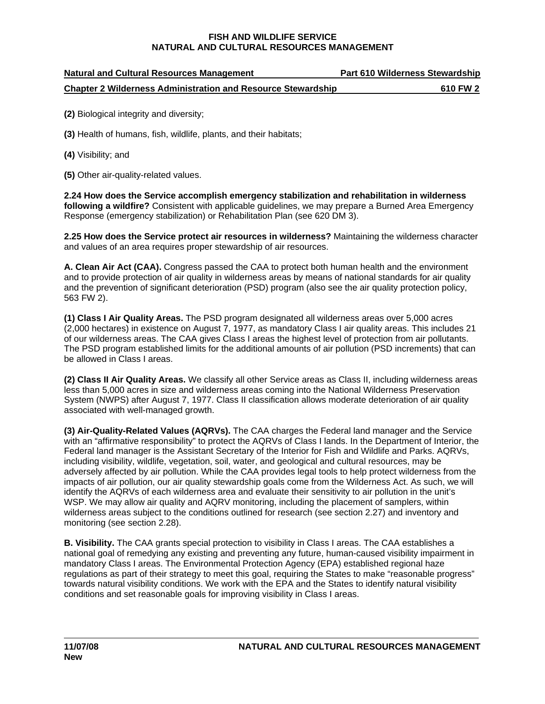| <b>Natural and Cultural Resources Management</b>                    | <b>Part 610 Wilderness Stewardship</b> |
|---------------------------------------------------------------------|----------------------------------------|
| <b>Chapter 2 Wilderness Administration and Resource Stewardship</b> | 610 FW 2                               |

- **(2)** Biological integrity and diversity;
- **(3)** Health of humans, fish, wildlife, plants, and their habitats;
- **(4)** Visibility; and
- **(5)** Other air-quality-related values.

**2.24 How does the Service accomplish emergency stabilization and rehabilitation in wilderness following a wildfire?** Consistent with applicable guidelines, we may prepare a Burned Area Emergency Response (emergency stabilization) or Rehabilitation Plan (see 620 DM 3).

**2.25 How does the Service protect air resources in wilderness?** Maintaining the wilderness character and values of an area requires proper stewardship of air resources.

**A. Clean Air Act (CAA).** Congress passed the CAA to protect both human health and the environment and to provide protection of air quality in wilderness areas by means of national standards for air quality and the prevention of significant deterioration (PSD) program (also see the air quality protection policy, 563 FW 2).

 be allowed in Class I areas. **(1) Class I Air Quality Areas.** The PSD program designated all wilderness areas over 5,000 acres (2,000 hectares) in existence on August 7, 1977, as mandatory Class I air quality areas. This includes 21 of our wilderness areas. The CAA gives Class I areas the highest level of protection from air pollutants. The PSD program established limits for the additional amounts of air pollution (PSD increments) that can

**(2) Class II Air Quality Areas.** We classify all other Service areas as Class II, including wilderness areas less than 5,000 acres in size and wilderness areas coming into the National Wilderness Preservation System (NWPS) after August 7, 1977. Class II classification allows moderate deterioration of air quality associated with well-managed growth.

**(3) Air-Quality-Related Values (AQRVs).** The CAA charges the Federal land manager and the Service with an "affirmative responsibility" to protect the AQRVs of Class I lands. In the Department of Interior, the Federal land manager is the Assistant Secretary of the Interior for Fish and Wildlife and Parks. AQRVs, including visibility, wildlife, vegetation, soil, water, and geological and cultural resources, may be adversely affected by air pollution. While the CAA provides legal tools to help protect wilderness from the impacts of air pollution, our air quality stewardship goals come from the Wilderness Act. As such, we will identify the AQRVs of each wilderness area and evaluate their sensitivity to air pollution in the unit's WSP. We may allow air quality and AQRV monitoring, including the placement of samplers, within wilderness areas subject to the conditions outlined for research (see section 2.27) and inventory and monitoring (see section 2.28).

**B. Visibility.** The CAA grants special protection to visibility in Class I areas. The CAA establishes a national goal of remedying any existing and preventing any future, human-caused visibility impairment in mandatory Class I areas. The Environmental Protection Agency (EPA) established regional haze regulations as part of their strategy to meet this goal, requiring the States to make "reasonable progress" towards natural visibility conditions. We work with the EPA and the States to identify natural visibility conditions and set reasonable goals for improving visibility in Class I areas.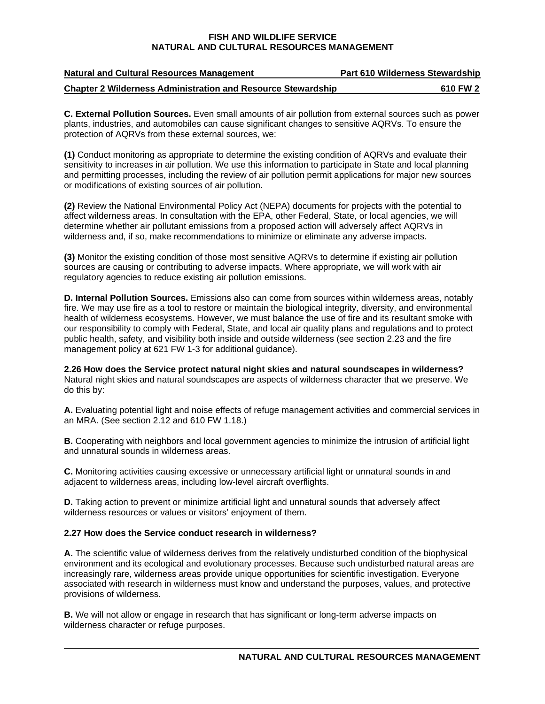| <b>Natural and Cultural Resources Management</b>                    | Part 610 Wilderness Stewardship |
|---------------------------------------------------------------------|---------------------------------|
| <b>Chapter 2 Wilderness Administration and Resource Stewardship</b> | 610 FW 2                        |

**C. External Pollution Sources.** Even small amounts of air pollution from external sources such as power plants, industries, and automobiles can cause significant changes to sensitive AQRVs. To ensure the protection of AQRVs from these external sources, we:

**(1)** Conduct monitoring as appropriate to determine the existing condition of AQRVs and evaluate their sensitivity to increases in air pollution. We use this information to participate in State and local planning and permitting processes, including the review of air pollution permit applications for major new sources or modifications of existing sources of air pollution.

 wilderness and, if so, make recommendations to minimize or eliminate any adverse impacts. **(2)** Review the National Environmental Policy Act (NEPA) documents for projects with the potential to affect wilderness areas. In consultation with the EPA, other Federal, State, or local agencies, we will determine whether air pollutant emissions from a proposed action will adversely affect AQRVs in

**(3)** Monitor the existing condition of those most sensitive AQRVs to determine if existing air pollution sources are causing or contributing to adverse impacts. Where appropriate, we will work with air regulatory agencies to reduce existing air pollution emissions.

**D. Internal Pollution Sources.** Emissions also can come from sources within wilderness areas, notably fire. We may use fire as a tool to restore or maintain the biological integrity, diversity, and environmental health of wilderness ecosystems. However, we must balance the use of fire and its resultant smoke with our responsibility to comply with Federal, State, and local air quality plans and regulations and to protect public health, safety, and visibility both inside and outside wilderness (see section 2.23 and the fire management policy at 621 FW 1-3 for additional guidance).

**2.26 How does the Service protect natural night skies and natural soundscapes in wilderness?**  Natural night skies and natural soundscapes are aspects of wilderness character that we preserve. We do this by:

**A.** Evaluating potential light and noise effects of refuge management activities and commercial services in an MRA. (See section 2.12 and 610 FW 1.18.)

**B.** Cooperating with neighbors and local government agencies to minimize the intrusion of artificial light and unnatural sounds in wilderness areas.

**C.** Monitoring activities causing excessive or unnecessary artificial light or unnatural sounds in and adjacent to wilderness areas, including low-level aircraft overflights.

**D.** Taking action to prevent or minimize artificial light and unnatural sounds that adversely affect wilderness resources or values or visitors' enjoyment of them.

#### 2.27 How does the Service conduct research in wilderness?

**A.** The scientific value of wilderness derives from the relatively undisturbed condition of the biophysical environment and its ecological and evolutionary processes. Because such undisturbed natural areas are increasingly rare, wilderness areas provide unique opportunities for scientific investigation. Everyone associated with research in wilderness must know and understand the purposes, values, and protective provisions of wilderness.

**B.** We will not allow or engage in research that has significant or long-term adverse impacts on wilderness character or refuge purposes.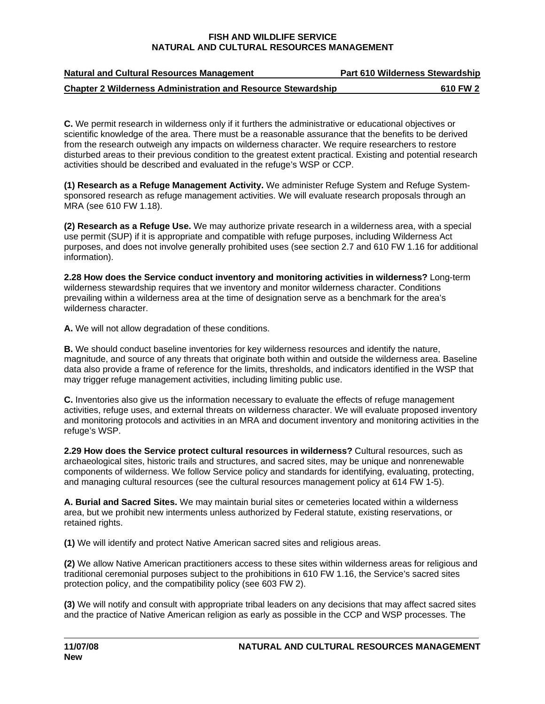| <b>Natural and Cultural Resources Management</b>                    | <b>Part 610 Wilderness Stewardship</b> |
|---------------------------------------------------------------------|----------------------------------------|
| <b>Chapter 2 Wilderness Administration and Resource Stewardship</b> | 610 FW 2                               |

**C.** We permit research in wilderness only if it furthers the administrative or educational objectives or scientific knowledge of the area. There must be a reasonable assurance that the benefits to be derived from the research outweigh any impacts on wilderness character. We require researchers to restore disturbed areas to their previous condition to the greatest extent practical. Existing and potential research activities should be described and evaluated in the refuge's WSP or CCP.

**(1) Research as a Refuge Management Activity.** We administer Refuge System and Refuge Systemsponsored research as refuge management activities. We will evaluate research proposals through an MRA (see 610 FW 1.18).

**(2) Research as a Refuge Use.** We may authorize private research in a wilderness area, with a special use permit (SUP) if it is appropriate and compatible with refuge purposes, including Wilderness Act purposes, and does not involve generally prohibited uses (see section 2.7 and 610 FW 1.16 for additional information).

**2.28 How does the Service conduct inventory and monitoring activities in wilderness?** Long-term wilderness stewardship requires that we inventory and monitor wilderness character. Conditions prevailing within a wilderness area at the time of designation serve as a benchmark for the area's wilderness character.

**A.** We will not allow degradation of these conditions.

**B.** We should conduct baseline inventories for key wilderness resources and identify the nature, magnitude, and source of any threats that originate both within and outside the wilderness area. Baseline data also provide a frame of reference for the limits, thresholds, and indicators identified in the WSP that may trigger refuge management activities, including limiting public use.

**C.** Inventories also give us the information necessary to evaluate the effects of refuge management activities, refuge uses, and external threats on wilderness character. We will evaluate proposed inventory and monitoring protocols and activities in an MRA and document inventory and monitoring activities in the refuge's WSP.

**2.29 How does the Service protect cultural resources in wilderness?** Cultural resources, such as archaeological sites, historic trails and structures, and sacred sites, may be unique and nonrenewable components of wilderness. We follow Service policy and standards for identifying, evaluating, protecting, and managing cultural resources (see the cultural resources management policy at 614 FW 1-5).

**A. Burial and Sacred Sites.** We may maintain burial sites or cemeteries located within a wilderness area, but we prohibit new interments unless authorized by Federal statute, existing reservations, or retained rights.

**(1)** We will identify and protect Native American sacred sites and religious areas.

**(2)** We allow Native American practitioners access to these sites within wilderness areas for religious and traditional ceremonial purposes subject to the prohibitions in 610 FW 1.16, the Service's sacred sites protection policy, and the compatibility policy (see 603 FW 2).

**(3)** We will notify and consult with appropriate tribal leaders on any decisions that may affect sacred sites and the practice of Native American religion as early as possible in the CCP and WSP processes. The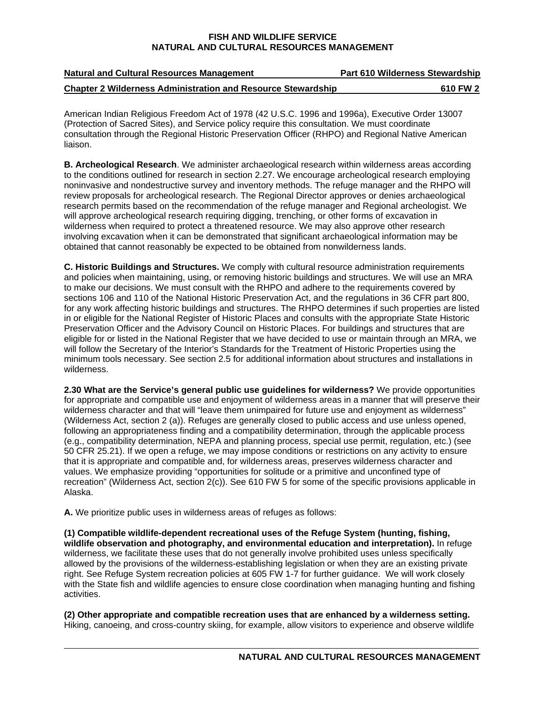| <b>Natural and Cultural Resources Management</b>                    | <b>Part 610 Wilderness Stewardship</b> |
|---------------------------------------------------------------------|----------------------------------------|
| <b>Chapter 2 Wilderness Administration and Resource Stewardship</b> | 610 FW 2                               |

American Indian Religious Freedom Act of 1978 (42 U.S.C. 1996 and 1996a), Executive Order 13007 (Protection of Sacred Sites), and Service policy require this consultation. We must coordinate consultation through the Regional Historic Preservation Officer (RHPO) and Regional Native American liaison.

**B. Archeological Research**. We administer archaeological research within wilderness areas according to the conditions outlined for research in section 2.27. We encourage archeological research employing noninvasive and nondestructive survey and inventory methods. The refuge manager and the RHPO will review proposals for archeological research. The Regional Director approves or denies archaeological research permits based on the recommendation of the refuge manager and Regional archeologist. We will approve archeological research requiring digging, trenching, or other forms of excavation in wilderness when required to protect a threatened resource. We may also approve other research involving excavation when it can be demonstrated that significant archaeological information may be obtained that cannot reasonably be expected to be obtained from nonwilderness lands.

**C. Historic Buildings and Structures.** We comply with cultural resource administration requirements and policies when maintaining, using, or removing historic buildings and structures. We will use an MRA to make our decisions. We must consult with the RHPO and adhere to the requirements covered by sections 106 and 110 of the National Historic Preservation Act, and the regulations in 36 CFR part 800, for any work affecting historic buildings and structures. The RHPO determines if such properties are listed in or eligible for the National Register of Historic Places and consults with the appropriate State Historic Preservation Officer and the Advisory Council on Historic Places. For buildings and structures that are eligible for or listed in the National Register that we have decided to use or maintain through an MRA, we will follow the Secretary of the Interior's Standards for the Treatment of Historic Properties using the minimum tools necessary. See section 2.5 for additional information about structures and installations in wilderness.

**2.30 What are the Service's general public use guidelines for wilderness?** We provide opportunities for appropriate and compatible use and enjoyment of wilderness areas in a manner that will preserve their wilderness character and that will "leave them unimpaired for future use and enjoyment as wilderness" (Wilderness Act, section 2 (a)). Refuges are generally closed to public access and use unless opened, following an appropriateness finding and a compatibility determination, through the applicable process (e.g., compatibility determination, NEPA and planning process, special use permit, regulation, etc.) (see 50 CFR 25.21). If we open a refuge, we may impose conditions or restrictions on any activity to ensure that it is appropriate and compatible and, for wilderness areas, preserves wilderness character and values. We emphasize providing "opportunities for solitude or a primitive and unconfined type of recreation" (Wilderness Act, section 2(c)). See 610 FW 5 for some of the specific provisions applicable in Alaska.

**A.** We prioritize public uses in wilderness areas of refuges as follows:

**(1) Compatible wildlife-dependent recreational uses of the Refuge System (hunting, fishing, wildlife observation and photography, and environmental education and interpretation).** In refuge wilderness, we facilitate these uses that do not generally involve prohibited uses unless specifically allowed by the provisions of the wilderness-establishing legislation or when they are an existing private right. See Refuge System recreation policies at 605 FW 1-7 for further guidance. We will work closely with the State fish and wildlife agencies to ensure close coordination when managing hunting and fishing activities.

**(2) Other appropriate and compatible recreation uses that are enhanced by a wilderness setting.**  Hiking, canoeing, and cross-country skiing, for example, allow visitors to experience and observe wildlife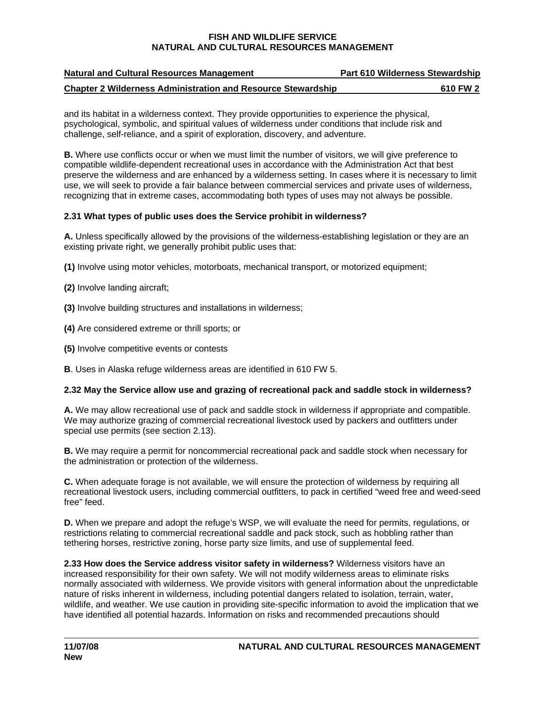| <b>Natural and Cultural Resources Management</b>                    | <b>Part 610 Wilderness Stewardship</b> |
|---------------------------------------------------------------------|----------------------------------------|
| <b>Chapter 2 Wilderness Administration and Resource Stewardship</b> | 610 FW 2                               |

and its habitat in a wilderness context. They provide opportunities to experience the physical, psychological, symbolic, and spiritual values of wilderness under conditions that include risk and challenge, self-reliance, and a spirit of exploration, discovery, and adventure.

**B.** Where use conflicts occur or when we must limit the number of visitors, we will give preference to compatible wildlife-dependent recreational uses in accordance with the Administration Act that best preserve the wilderness and are enhanced by a wilderness setting. In cases where it is necessary to limit use, we will seek to provide a fair balance between commercial services and private uses of wilderness, recognizing that in extreme cases, accommodating both types of uses may not always be possible.

# 2.31 What types of public uses does the Service prohibit in wilderness?

**A.** Unless specifically allowed by the provisions of the wilderness-establishing legislation or they are an existing private right, we generally prohibit public uses that:

**(1)** Involve using motor vehicles, motorboats, mechanical transport, or motorized equipment;

**(2)** Involve landing aircraft;

**(3)** Involve building structures and installations in wilderness;

**(4)** Are considered extreme or thrill sports; or

**(5)** Involve competitive events or contests

**B**. Uses in Alaska refuge wilderness areas are identified in 610 FW 5.

# 2.32 May the Service allow use and grazing of recreational pack and saddle stock in wilderness?

**A.** We may allow recreational use of pack and saddle stock in wilderness if appropriate and compatible. We may authorize grazing of commercial recreational livestock used by packers and outfitters under special use permits (see section 2.13).

**B.** We may require a permit for noncommercial recreational pack and saddle stock when necessary for the administration or protection of the wilderness.

**C.** When adequate forage is not available, we will ensure the protection of wilderness by requiring all recreational livestock users, including commercial outfitters, to pack in certified "weed free and weed-seed free" feed.

**D.** When we prepare and adopt the refuge's WSP, we will evaluate the need for permits, regulations, or restrictions relating to commercial recreational saddle and pack stock, such as hobbling rather than tethering horses, restrictive zoning, horse party size limits, and use of supplemental feed.

**2.33 How does the Service address visitor safety in wilderness?** Wilderness visitors have an increased responsibility for their own safety. We will not modify wilderness areas to eliminate risks normally associated with wilderness. We provide visitors with general information about the unpredictable nature of risks inherent in wilderness, including potential dangers related to isolation, terrain, water, wildlife, and weather. We use caution in providing site-specific information to avoid the implication that we have identified all potential hazards. Information on risks and recommended precautions should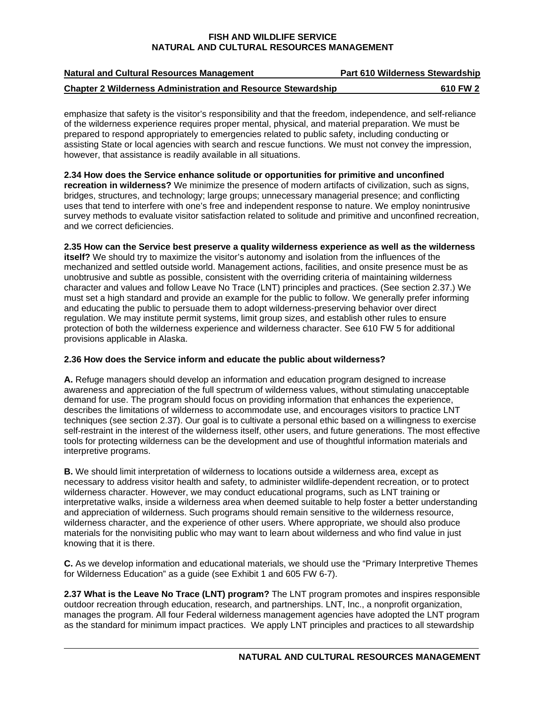| <b>Natural and Cultural Resources Management</b>                    | <b>Part 610 Wilderness Stewardship</b> |
|---------------------------------------------------------------------|----------------------------------------|
| <b>Chapter 2 Wilderness Administration and Resource Stewardship</b> | 610 FW 2                               |

emphasize that safety is the visitor's responsibility and that the freedom, independence, and self-reliance of the wilderness experience requires proper mental, physical, and material preparation. We must be prepared to respond appropriately to emergencies related to public safety, including conducting or assisting State or local agencies with search and rescue functions. We must not convey the impression, however, that assistance is readily available in all situations.

**2.34 How does the Service enhance solitude or opportunities for primitive and unconfined recreation in wilderness?** We minimize the presence of modern artifacts of civilization, such as signs, bridges, structures, and technology; large groups; unnecessary managerial presence; and conflicting uses that tend to interfere with one's free and independent response to nature. We employ nonintrusive survey methods to evaluate visitor satisfaction related to solitude and primitive and unconfined recreation, and we correct deficiencies.

# **2.35 How can the Service best preserve a quality wilderness experience as well as the wilderness**

**itself?** We should try to maximize the visitor's autonomy and isolation from the influences of the mechanized and settled outside world. Management actions, facilities, and onsite presence must be as unobtrusive and subtle as possible, consistent with the overriding criteria of maintaining wilderness character and values and follow Leave No Trace (LNT) principles and practices. (See section 2.37.) We must set a high standard and provide an example for the public to follow. We generally prefer informing and educating the public to persuade them to adopt wilderness-preserving behavior over direct regulation. We may institute permit systems, limit group sizes, and establish other rules to ensure protection of both the wilderness experience and wilderness character. See 610 FW 5 for additional provisions applicable in Alaska.

# **2.36 How does the Service inform and educate the public about wilderness?**

 interpretive programs. **A.** Refuge managers should develop an information and education program designed to increase awareness and appreciation of the full spectrum of wilderness values, without stimulating unacceptable demand for use. The program should focus on providing information that enhances the experience, describes the limitations of wilderness to accommodate use, and encourages visitors to practice LNT techniques (see section 2.37). Our goal is to cultivate a personal ethic based on a willingness to exercise self-restraint in the interest of the wilderness itself, other users, and future generations. The most effective tools for protecting wilderness can be the development and use of thoughtful information materials and

**B.** We should limit interpretation of wilderness to locations outside a wilderness area, except as necessary to address visitor health and safety, to administer wildlife-dependent recreation, or to protect wilderness character. However, we may conduct educational programs, such as LNT training or interpretative walks, inside a wilderness area when deemed suitable to help foster a better understanding and appreciation of wilderness. Such programs should remain sensitive to the wilderness resource, wilderness character, and the experience of other users. Where appropriate, we should also produce materials for the nonvisiting public who may want to learn about wilderness and who find value in just knowing that it is there.

**C.** As we develop information and educational materials, we should use the "Primary Interpretive Themes for Wilderness Education" as a guide (see Exhibit 1 and 605 FW 6-7).

**2.37 What is the Leave No Trace (LNT) program?** The LNT program promotes and inspires responsible outdoor recreation through education, research, and partnerships. LNT, Inc., a nonprofit organization, manages the program. All four Federal wilderness management agencies have adopted the LNT program as the standard for minimum impact practices. We apply LNT principles and practices to all stewardship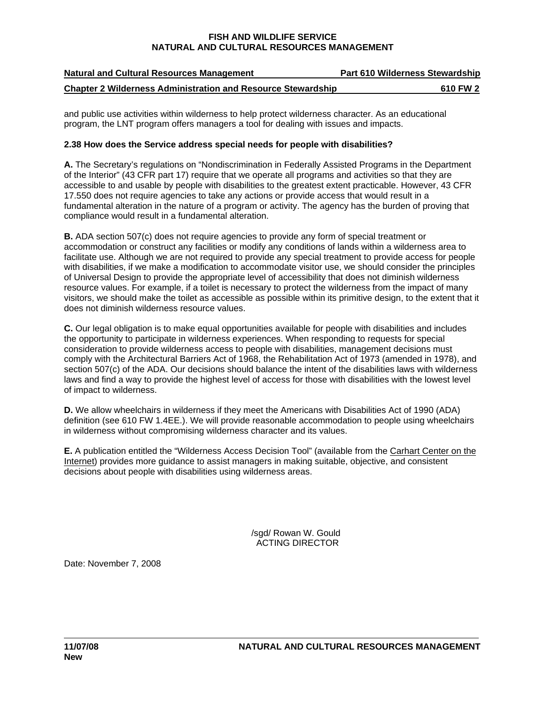| <b>Natural and Cultural Resources Management</b>                    | <b>Part 610 Wilderness Stewardship</b> |
|---------------------------------------------------------------------|----------------------------------------|
| <b>Chapter 2 Wilderness Administration and Resource Stewardship</b> | 610 FW 2                               |

and public use activities within wilderness to help protect wilderness character. As an educational program, the LNT program offers managers a tool for dealing with issues and impacts.

# **2.38 How does the Service address special needs for people with disabilities?**

**A.** The Secretary's regulations on "Nondiscrimination in Federally Assisted Programs in the Department of the Interior" (43 CFR part 17) require that we operate all programs and activities so that they are accessible to and usable by people with disabilities to the greatest extent practicable. However, 43 CFR 17.550 does not require agencies to take any actions or provide access that would result in a fundamental alteration in the nature of a program or activity. The agency has the burden of proving that compliance would result in a fundamental alteration.

**B.** ADA section 507(c) does not require agencies to provide any form of special treatment or accommodation or construct any facilities or modify any conditions of lands within a wilderness area to facilitate use. Although we are not required to provide any special treatment to provide access for people with disabilities, if we make a modification to accommodate visitor use, we should consider the principles of Universal Design to provide the appropriate level of accessibility that does not diminish wilderness resource values. For example, if a toilet is necessary to protect the wilderness from the impact of many visitors, we should make the toilet as accessible as possible within its primitive design, to the extent that it does not diminish wilderness resource values.

**C.** Our legal obligation is to make equal opportunities available for people with disabilities and includes the opportunity to participate in wilderness experiences. When responding to requests for special consideration to provide wilderness access to people with disabilities, management decisions must comply with the Architectural Barriers Act of 1968, the Rehabilitation Act of 1973 (amended in 1978), and section 507(c) of the ADA. Our decisions should balance the intent of the disabilities laws with wilderness laws and find a way to provide the highest level of access for those with disabilities with the lowest level of impact to wilderness.

**D.** We allow wheelchairs in wilderness if they meet the Americans with Disabilities Act of 1990 (ADA) definition (see 610 FW 1.4EE.). We will provide reasonable accommodation to people using wheelchairs in wilderness without compromising wilderness character and its values.

**E.** A publication entitled the "Wilderness Access Decision Tool" (available from the Carhart Center on the Internet) provides more guidance to assist managers in making suitable, objective, and consistent decisions about people with disabilities using wilderness areas.

ACTING DIRECTOR AND THE STATE OF A SECTION AND THE STATE OF A STATE OF A STATE OF A STATE OF A STATE OF A STATE /sgd/ Rowan W. Gould

Date: November 7, 2008